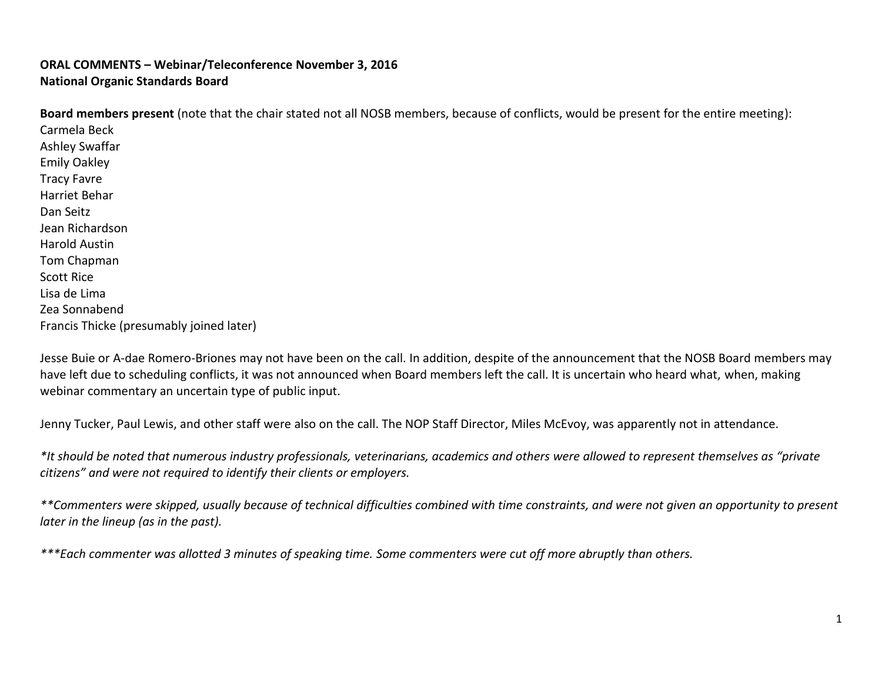## **ORAL COMMENTS – Webinar/Teleconference November 3, 2016 National Organic Standards Board**

**Board members present** (note that the chair stated not all NOSB members, because of conflicts, would be present for the entire meeting): Carmela Beck Ashley Swaffar Emily Oakley Tracy Favre Harriet Behar Dan Seitz Jean Richardson Harold Austin Tom Chapman Scott Rice Lisa de Lima Zea Sonnabend Francis Thicke (presumably joined later)

Jesse Buie or A-dae Romero-Briones may not have been on the call. In addition, despite of the announcement that the NOSB Board members may have left due to scheduling conflicts, it was not announced when Board members left the call. It is uncertain who heard what, when, making webinar commentary an uncertain type of public input.

Jenny Tucker, Paul Lewis, and other staff were also on the call. The NOP Staff Director, Miles McEvoy, was apparently not in attendance.

*\*It should be noted that numerous industry professionals, veterinarians, academics and others were allowed to represent themselves as "private citizens" and were not required to identify their clients or employers.*

*\*\*Commenters were skipped, usually because of technical difficulties combined with time constraints, and were not given an opportunity to present later in the lineup (as in the past).* 

*\*\*\*Each commenter was allotted 3 minutes of speaking time. Some commenters were cut off more abruptly than others.*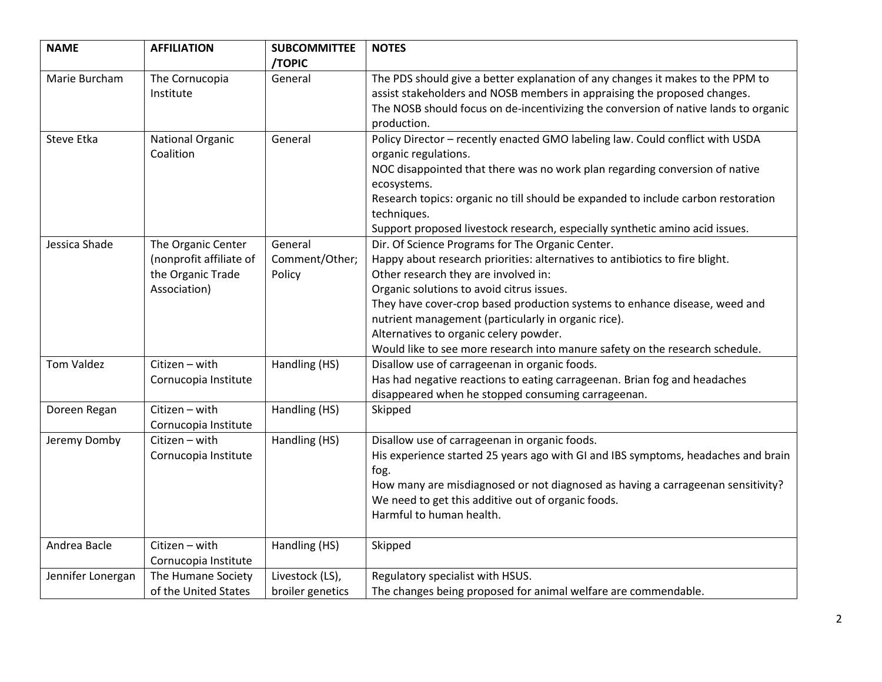| <b>NAME</b>       | <b>AFFILIATION</b>                                                                 | <b>SUBCOMMITTEE</b><br>/TOPIC       | <b>NOTES</b>                                                                                                                                                                                                                                                                                                                                                                                                                                                                         |
|-------------------|------------------------------------------------------------------------------------|-------------------------------------|--------------------------------------------------------------------------------------------------------------------------------------------------------------------------------------------------------------------------------------------------------------------------------------------------------------------------------------------------------------------------------------------------------------------------------------------------------------------------------------|
| Marie Burcham     | The Cornucopia<br>Institute                                                        | General                             | The PDS should give a better explanation of any changes it makes to the PPM to<br>assist stakeholders and NOSB members in appraising the proposed changes.<br>The NOSB should focus on de-incentivizing the conversion of native lands to organic<br>production.                                                                                                                                                                                                                     |
| Steve Etka        | National Organic<br>Coalition                                                      | General                             | Policy Director - recently enacted GMO labeling law. Could conflict with USDA<br>organic regulations.<br>NOC disappointed that there was no work plan regarding conversion of native<br>ecosystems.<br>Research topics: organic no till should be expanded to include carbon restoration<br>techniques.<br>Support proposed livestock research, especially synthetic amino acid issues.                                                                                              |
| Jessica Shade     | The Organic Center<br>(nonprofit affiliate of<br>the Organic Trade<br>Association) | General<br>Comment/Other;<br>Policy | Dir. Of Science Programs for The Organic Center.<br>Happy about research priorities: alternatives to antibiotics to fire blight.<br>Other research they are involved in:<br>Organic solutions to avoid citrus issues.<br>They have cover-crop based production systems to enhance disease, weed and<br>nutrient management (particularly in organic rice).<br>Alternatives to organic celery powder.<br>Would like to see more research into manure safety on the research schedule. |
| <b>Tom Valdez</b> | Citizen - with<br>Cornucopia Institute                                             | Handling (HS)                       | Disallow use of carrageenan in organic foods.<br>Has had negative reactions to eating carrageenan. Brian fog and headaches<br>disappeared when he stopped consuming carrageenan.                                                                                                                                                                                                                                                                                                     |
| Doreen Regan      | Citizen - with<br>Cornucopia Institute                                             | Handling (HS)                       | Skipped                                                                                                                                                                                                                                                                                                                                                                                                                                                                              |
| Jeremy Domby      | Citizen - with<br>Cornucopia Institute                                             | Handling (HS)                       | Disallow use of carrageenan in organic foods.<br>His experience started 25 years ago with GI and IBS symptoms, headaches and brain<br>fog.<br>How many are misdiagnosed or not diagnosed as having a carrageenan sensitivity?<br>We need to get this additive out of organic foods.<br>Harmful to human health.                                                                                                                                                                      |
| Andrea Bacle      | Citizen - with<br>Cornucopia Institute                                             | Handling (HS)                       | Skipped                                                                                                                                                                                                                                                                                                                                                                                                                                                                              |
| Jennifer Lonergan | The Humane Society<br>of the United States                                         | Livestock (LS),<br>broiler genetics | Regulatory specialist with HSUS.<br>The changes being proposed for animal welfare are commendable.                                                                                                                                                                                                                                                                                                                                                                                   |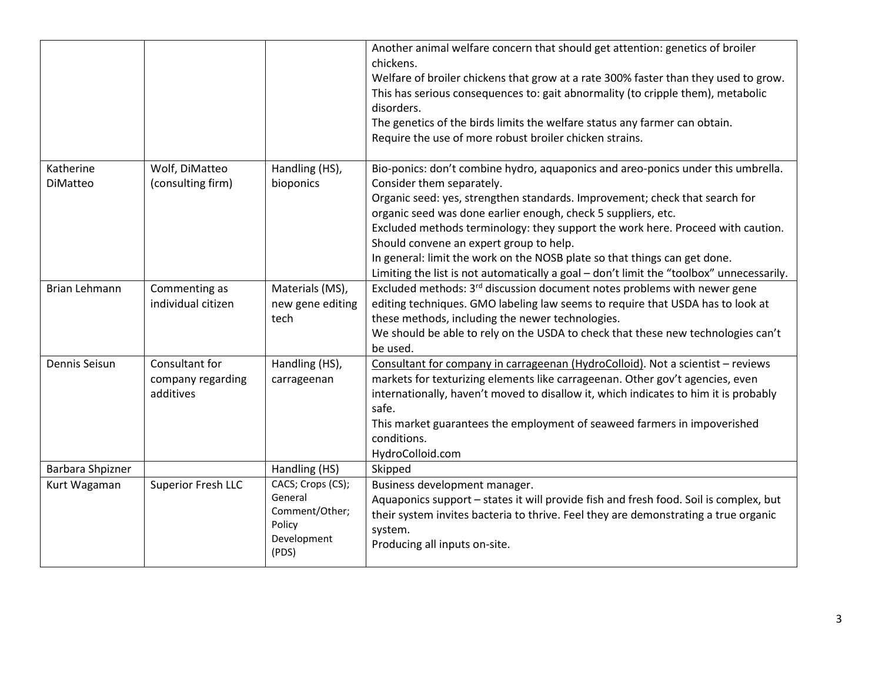|                  |                                     |                                     | Another animal welfare concern that should get attention: genetics of broiler<br>chickens.<br>Welfare of broiler chickens that grow at a rate 300% faster than they used to grow.<br>This has serious consequences to: gait abnormality (to cripple them), metabolic<br>disorders.<br>The genetics of the birds limits the welfare status any farmer can obtain.<br>Require the use of more robust broiler chicken strains. |
|------------------|-------------------------------------|-------------------------------------|-----------------------------------------------------------------------------------------------------------------------------------------------------------------------------------------------------------------------------------------------------------------------------------------------------------------------------------------------------------------------------------------------------------------------------|
| Katherine        | Wolf, DiMatteo                      | Handling (HS),                      | Bio-ponics: don't combine hydro, aquaponics and areo-ponics under this umbrella.                                                                                                                                                                                                                                                                                                                                            |
| DiMatteo         | (consulting firm)                   | bioponics                           | Consider them separately.                                                                                                                                                                                                                                                                                                                                                                                                   |
|                  |                                     |                                     | Organic seed: yes, strengthen standards. Improvement; check that search for<br>organic seed was done earlier enough, check 5 suppliers, etc.                                                                                                                                                                                                                                                                                |
|                  |                                     |                                     | Excluded methods terminology: they support the work here. Proceed with caution.                                                                                                                                                                                                                                                                                                                                             |
|                  |                                     |                                     | Should convene an expert group to help.                                                                                                                                                                                                                                                                                                                                                                                     |
|                  |                                     |                                     | In general: limit the work on the NOSB plate so that things can get done.                                                                                                                                                                                                                                                                                                                                                   |
|                  |                                     |                                     | Limiting the list is not automatically a goal - don't limit the "toolbox" unnecessarily.                                                                                                                                                                                                                                                                                                                                    |
| Brian Lehmann    | Commenting as<br>individual citizen | Materials (MS),<br>new gene editing | Excluded methods: 3 <sup>rd</sup> discussion document notes problems with newer gene<br>editing techniques. GMO labeling law seems to require that USDA has to look at                                                                                                                                                                                                                                                      |
|                  |                                     | tech                                | these methods, including the newer technologies.                                                                                                                                                                                                                                                                                                                                                                            |
|                  |                                     |                                     | We should be able to rely on the USDA to check that these new technologies can't                                                                                                                                                                                                                                                                                                                                            |
|                  |                                     |                                     | be used.                                                                                                                                                                                                                                                                                                                                                                                                                    |
| Dennis Seisun    | Consultant for                      | Handling (HS),                      | Consultant for company in carrageenan (HydroColloid). Not a scientist - reviews                                                                                                                                                                                                                                                                                                                                             |
|                  | company regarding<br>additives      | carrageenan                         | markets for texturizing elements like carrageenan. Other gov't agencies, even<br>internationally, haven't moved to disallow it, which indicates to him it is probably                                                                                                                                                                                                                                                       |
|                  |                                     |                                     | safe.                                                                                                                                                                                                                                                                                                                                                                                                                       |
|                  |                                     |                                     | This market guarantees the employment of seaweed farmers in impoverished                                                                                                                                                                                                                                                                                                                                                    |
|                  |                                     |                                     | conditions.                                                                                                                                                                                                                                                                                                                                                                                                                 |
|                  |                                     |                                     | HydroColloid.com                                                                                                                                                                                                                                                                                                                                                                                                            |
| Barbara Shpizner |                                     | Handling (HS)                       | Skipped                                                                                                                                                                                                                                                                                                                                                                                                                     |
| Kurt Wagaman     | <b>Superior Fresh LLC</b>           | CACS; Crops (CS);<br>General        | Business development manager.<br>Aquaponics support - states it will provide fish and fresh food. Soil is complex, but                                                                                                                                                                                                                                                                                                      |
|                  |                                     | Comment/Other;                      | their system invites bacteria to thrive. Feel they are demonstrating a true organic                                                                                                                                                                                                                                                                                                                                         |
|                  |                                     | Policy                              | system.                                                                                                                                                                                                                                                                                                                                                                                                                     |
|                  |                                     | Development<br>(PDS)                | Producing all inputs on-site.                                                                                                                                                                                                                                                                                                                                                                                               |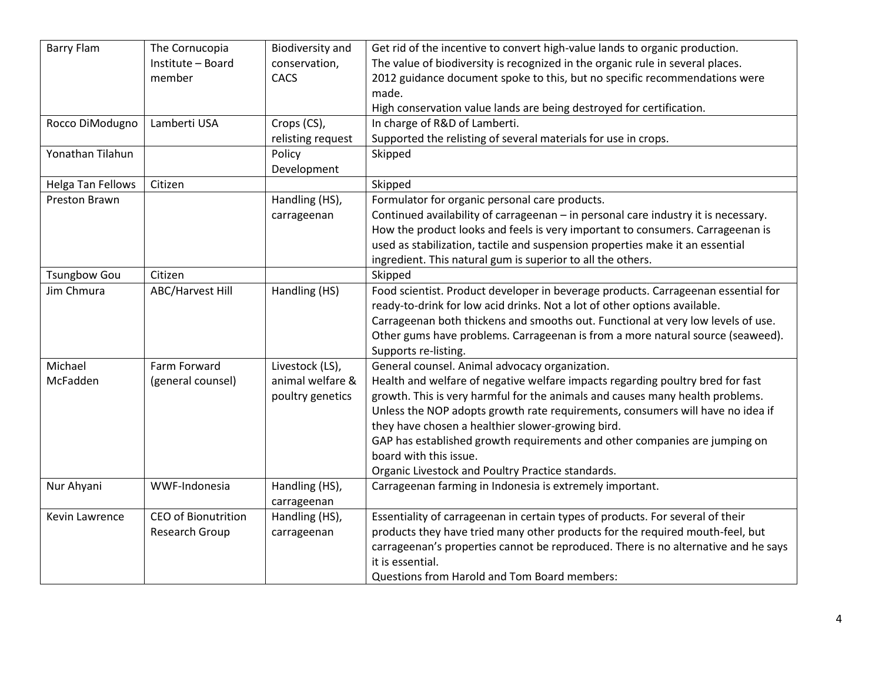| <b>Barry Flam</b>   | The Cornucopia             | <b>Biodiversity and</b> | Get rid of the incentive to convert high-value lands to organic production.        |
|---------------------|----------------------------|-------------------------|------------------------------------------------------------------------------------|
|                     | Institute - Board          | conservation,           | The value of biodiversity is recognized in the organic rule in several places.     |
|                     | member                     | CACS                    | 2012 guidance document spoke to this, but no specific recommendations were         |
|                     |                            |                         | made.                                                                              |
|                     |                            |                         | High conservation value lands are being destroyed for certification.               |
| Rocco DiModugno     | Lamberti USA               | Crops (CS),             | In charge of R&D of Lamberti.                                                      |
|                     |                            | relisting request       | Supported the relisting of several materials for use in crops.                     |
| Yonathan Tilahun    |                            | Policy                  | Skipped                                                                            |
|                     |                            | Development             |                                                                                    |
| Helga Tan Fellows   | Citizen                    |                         | Skipped                                                                            |
| Preston Brawn       |                            | Handling (HS),          | Formulator for organic personal care products.                                     |
|                     |                            | carrageenan             | Continued availability of carrageenan - in personal care industry it is necessary. |
|                     |                            |                         | How the product looks and feels is very important to consumers. Carrageenan is     |
|                     |                            |                         | used as stabilization, tactile and suspension properties make it an essential      |
|                     |                            |                         | ingredient. This natural gum is superior to all the others.                        |
| <b>Tsungbow Gou</b> | Citizen                    |                         | Skipped                                                                            |
| Jim Chmura          | <b>ABC/Harvest Hill</b>    | Handling (HS)           | Food scientist. Product developer in beverage products. Carrageenan essential for  |
|                     |                            |                         | ready-to-drink for low acid drinks. Not a lot of other options available.          |
|                     |                            |                         |                                                                                    |
|                     |                            |                         | Carrageenan both thickens and smooths out. Functional at very low levels of use.   |
|                     |                            |                         | Other gums have problems. Carrageenan is from a more natural source (seaweed).     |
|                     |                            |                         | Supports re-listing.                                                               |
| Michael             | Farm Forward               | Livestock (LS),         | General counsel. Animal advocacy organization.                                     |
| McFadden            | (general counsel)          | animal welfare &        | Health and welfare of negative welfare impacts regarding poultry bred for fast     |
|                     |                            | poultry genetics        | growth. This is very harmful for the animals and causes many health problems.      |
|                     |                            |                         | Unless the NOP adopts growth rate requirements, consumers will have no idea if     |
|                     |                            |                         | they have chosen a healthier slower-growing bird.                                  |
|                     |                            |                         | GAP has established growth requirements and other companies are jumping on         |
|                     |                            |                         | board with this issue.                                                             |
|                     |                            |                         | Organic Livestock and Poultry Practice standards.                                  |
| Nur Ahyani          | WWF-Indonesia              | Handling (HS),          | Carrageenan farming in Indonesia is extremely important.                           |
|                     |                            | carrageenan             |                                                                                    |
| Kevin Lawrence      | <b>CEO of Bionutrition</b> | Handling (HS),          | Essentiality of carrageenan in certain types of products. For several of their     |
|                     | Research Group             | carrageenan             | products they have tried many other products for the required mouth-feel, but      |
|                     |                            |                         | carrageenan's properties cannot be reproduced. There is no alternative and he says |
|                     |                            |                         | it is essential.                                                                   |
|                     |                            |                         | Questions from Harold and Tom Board members:                                       |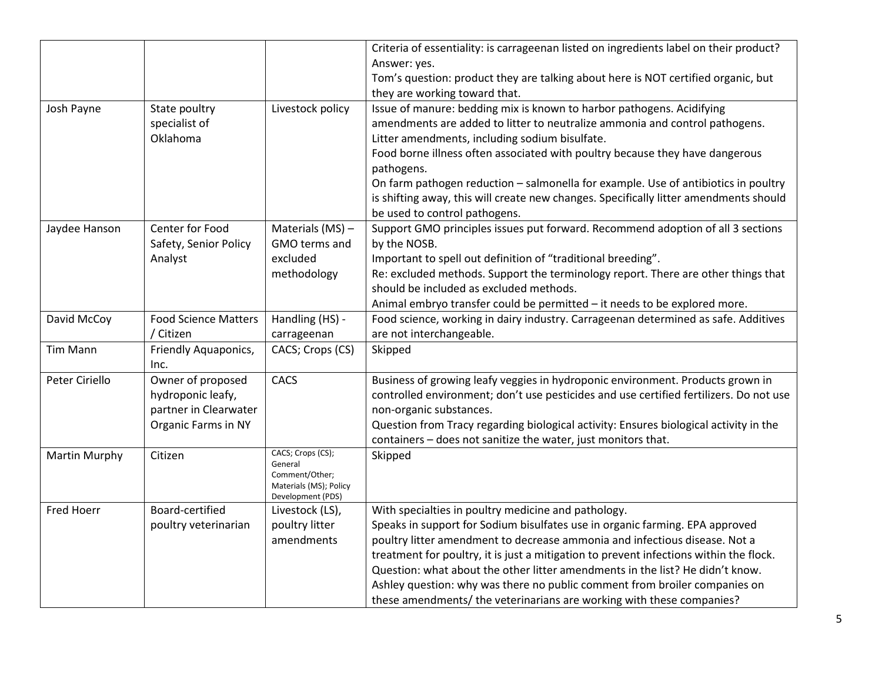|                      |                                                                                        |                                                                                               | Criteria of essentiality: is carrageenan listed on ingredients label on their product?<br>Answer: yes.<br>Tom's question: product they are talking about here is NOT certified organic, but<br>they are working toward that.                                                                                                                                                                                                                                                                                                                        |
|----------------------|----------------------------------------------------------------------------------------|-----------------------------------------------------------------------------------------------|-----------------------------------------------------------------------------------------------------------------------------------------------------------------------------------------------------------------------------------------------------------------------------------------------------------------------------------------------------------------------------------------------------------------------------------------------------------------------------------------------------------------------------------------------------|
| Josh Payne           | State poultry<br>specialist of<br>Oklahoma                                             | Livestock policy                                                                              | Issue of manure: bedding mix is known to harbor pathogens. Acidifying<br>amendments are added to litter to neutralize ammonia and control pathogens.<br>Litter amendments, including sodium bisulfate.<br>Food borne illness often associated with poultry because they have dangerous<br>pathogens.<br>On farm pathogen reduction - salmonella for example. Use of antibiotics in poultry<br>is shifting away, this will create new changes. Specifically litter amendments should<br>be used to control pathogens.                                |
| Jaydee Hanson        | Center for Food<br>Safety, Senior Policy<br>Analyst                                    | Materials (MS) -<br>GMO terms and<br>excluded<br>methodology                                  | Support GMO principles issues put forward. Recommend adoption of all 3 sections<br>by the NOSB.<br>Important to spell out definition of "traditional breeding".<br>Re: excluded methods. Support the terminology report. There are other things that<br>should be included as excluded methods.<br>Animal embryo transfer could be permitted - it needs to be explored more.                                                                                                                                                                        |
| David McCoy          | <b>Food Science Matters</b><br>/ Citizen                                               | Handling (HS) -<br>carrageenan                                                                | Food science, working in dairy industry. Carrageenan determined as safe. Additives<br>are not interchangeable.                                                                                                                                                                                                                                                                                                                                                                                                                                      |
| Tim Mann             | Friendly Aquaponics,<br>Inc.                                                           | CACS; Crops (CS)                                                                              | Skipped                                                                                                                                                                                                                                                                                                                                                                                                                                                                                                                                             |
| Peter Ciriello       | Owner of proposed<br>hydroponic leafy,<br>partner in Clearwater<br>Organic Farms in NY | CACS                                                                                          | Business of growing leafy veggies in hydroponic environment. Products grown in<br>controlled environment; don't use pesticides and use certified fertilizers. Do not use<br>non-organic substances.<br>Question from Tracy regarding biological activity: Ensures biological activity in the<br>containers - does not sanitize the water, just monitors that.                                                                                                                                                                                       |
| <b>Martin Murphy</b> | Citizen                                                                                | CACS; Crops (CS);<br>General<br>Comment/Other;<br>Materials (MS); Policy<br>Development (PDS) | Skipped                                                                                                                                                                                                                                                                                                                                                                                                                                                                                                                                             |
| Fred Hoerr           | Board-certified<br>poultry veterinarian                                                | Livestock (LS),<br>poultry litter<br>amendments                                               | With specialties in poultry medicine and pathology.<br>Speaks in support for Sodium bisulfates use in organic farming. EPA approved<br>poultry litter amendment to decrease ammonia and infectious disease. Not a<br>treatment for poultry, it is just a mitigation to prevent infections within the flock.<br>Question: what about the other litter amendments in the list? He didn't know.<br>Ashley question: why was there no public comment from broiler companies on<br>these amendments/ the veterinarians are working with these companies? |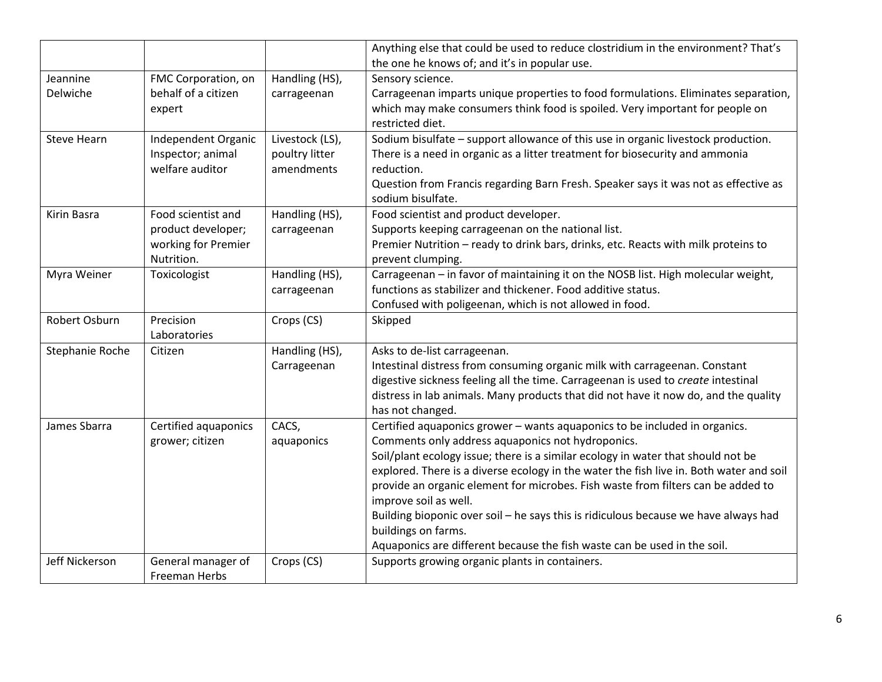|                      |                                                                               |                                                 | Anything else that could be used to reduce clostridium in the environment? That's<br>the one he knows of; and it's in popular use.                                                                                                                                                                                                                                                                                                                                                                                                                                                                                    |
|----------------------|-------------------------------------------------------------------------------|-------------------------------------------------|-----------------------------------------------------------------------------------------------------------------------------------------------------------------------------------------------------------------------------------------------------------------------------------------------------------------------------------------------------------------------------------------------------------------------------------------------------------------------------------------------------------------------------------------------------------------------------------------------------------------------|
| Jeannine<br>Delwiche | FMC Corporation, on<br>behalf of a citizen<br>expert                          | Handling (HS),<br>carrageenan                   | Sensory science.<br>Carrageenan imparts unique properties to food formulations. Eliminates separation,<br>which may make consumers think food is spoiled. Very important for people on<br>restricted diet.                                                                                                                                                                                                                                                                                                                                                                                                            |
| <b>Steve Hearn</b>   | Independent Organic<br>Inspector; animal<br>welfare auditor                   | Livestock (LS),<br>poultry litter<br>amendments | Sodium bisulfate - support allowance of this use in organic livestock production.<br>There is a need in organic as a litter treatment for biosecurity and ammonia<br>reduction.<br>Question from Francis regarding Barn Fresh. Speaker says it was not as effective as<br>sodium bisulfate.                                                                                                                                                                                                                                                                                                                           |
| Kirin Basra          | Food scientist and<br>product developer;<br>working for Premier<br>Nutrition. | Handling (HS),<br>carrageenan                   | Food scientist and product developer.<br>Supports keeping carrageenan on the national list.<br>Premier Nutrition - ready to drink bars, drinks, etc. Reacts with milk proteins to<br>prevent clumping.                                                                                                                                                                                                                                                                                                                                                                                                                |
| Myra Weiner          | Toxicologist                                                                  | Handling (HS),<br>carrageenan                   | Carrageenan - in favor of maintaining it on the NOSB list. High molecular weight,<br>functions as stabilizer and thickener. Food additive status.<br>Confused with poligeenan, which is not allowed in food.                                                                                                                                                                                                                                                                                                                                                                                                          |
| Robert Osburn        | Precision<br>Laboratories                                                     | Crops (CS)                                      | Skipped                                                                                                                                                                                                                                                                                                                                                                                                                                                                                                                                                                                                               |
| Stephanie Roche      | Citizen                                                                       | Handling (HS),<br>Carrageenan                   | Asks to de-list carrageenan.<br>Intestinal distress from consuming organic milk with carrageenan. Constant<br>digestive sickness feeling all the time. Carrageenan is used to create intestinal<br>distress in lab animals. Many products that did not have it now do, and the quality<br>has not changed.                                                                                                                                                                                                                                                                                                            |
| James Sbarra         | Certified aquaponics<br>grower; citizen                                       | CACS,<br>aquaponics                             | Certified aquaponics grower - wants aquaponics to be included in organics.<br>Comments only address aquaponics not hydroponics.<br>Soil/plant ecology issue; there is a similar ecology in water that should not be<br>explored. There is a diverse ecology in the water the fish live in. Both water and soil<br>provide an organic element for microbes. Fish waste from filters can be added to<br>improve soil as well.<br>Building bioponic over soil - he says this is ridiculous because we have always had<br>buildings on farms.<br>Aquaponics are different because the fish waste can be used in the soil. |
| Jeff Nickerson       | General manager of<br><b>Freeman Herbs</b>                                    | Crops (CS)                                      | Supports growing organic plants in containers.                                                                                                                                                                                                                                                                                                                                                                                                                                                                                                                                                                        |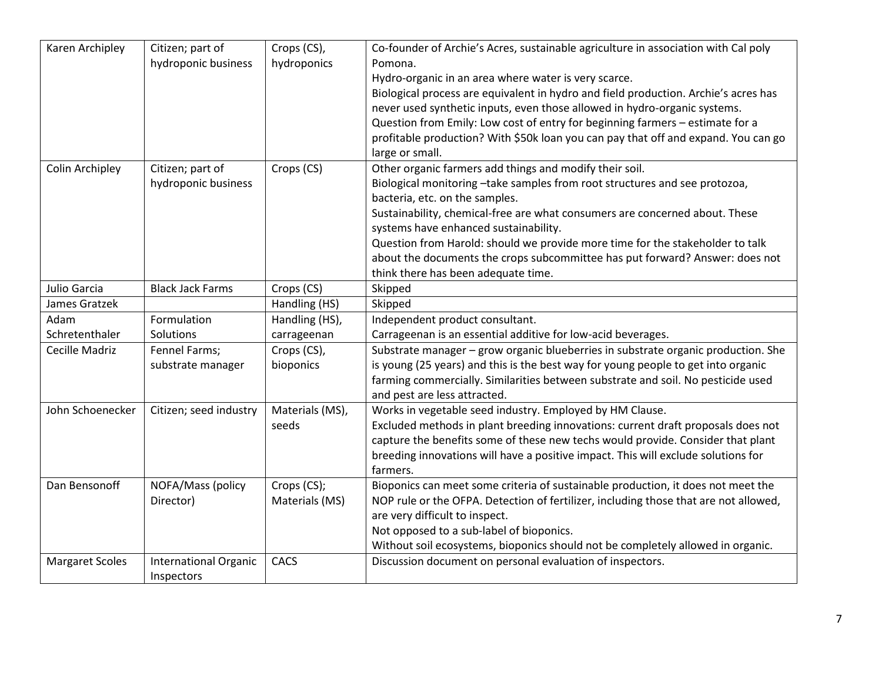| Karen Archipley        | Citizen; part of<br>hydroponic business | Crops (CS),<br>hydroponics | Co-founder of Archie's Acres, sustainable agriculture in association with Cal poly<br>Pomona. |
|------------------------|-----------------------------------------|----------------------------|-----------------------------------------------------------------------------------------------|
|                        |                                         |                            | Hydro-organic in an area where water is very scarce.                                          |
|                        |                                         |                            | Biological process are equivalent in hydro and field production. Archie's acres has           |
|                        |                                         |                            | never used synthetic inputs, even those allowed in hydro-organic systems.                     |
|                        |                                         |                            | Question from Emily: Low cost of entry for beginning farmers - estimate for a                 |
|                        |                                         |                            | profitable production? With \$50k loan you can pay that off and expand. You can go            |
|                        |                                         |                            | large or small.                                                                               |
| Colin Archipley        | Citizen; part of                        | Crops (CS)                 | Other organic farmers add things and modify their soil.                                       |
|                        | hydroponic business                     |                            | Biological monitoring -take samples from root structures and see protozoa,                    |
|                        |                                         |                            | bacteria, etc. on the samples.                                                                |
|                        |                                         |                            | Sustainability, chemical-free are what consumers are concerned about. These                   |
|                        |                                         |                            | systems have enhanced sustainability.                                                         |
|                        |                                         |                            | Question from Harold: should we provide more time for the stakeholder to talk                 |
|                        |                                         |                            | about the documents the crops subcommittee has put forward? Answer: does not                  |
|                        |                                         |                            | think there has been adequate time.                                                           |
| Julio Garcia           | <b>Black Jack Farms</b>                 | Crops (CS)                 | Skipped                                                                                       |
| James Gratzek          |                                         | Handling (HS)              | Skipped                                                                                       |
| Adam                   | Formulation                             | Handling (HS),             | Independent product consultant.                                                               |
| Schretenthaler         | Solutions                               | carrageenan                | Carrageenan is an essential additive for low-acid beverages.                                  |
| Cecille Madriz         | Fennel Farms;                           | Crops (CS),                | Substrate manager - grow organic blueberries in substrate organic production. She             |
|                        | substrate manager                       | bioponics                  | is young (25 years) and this is the best way for young people to get into organic             |
|                        |                                         |                            | farming commercially. Similarities between substrate and soil. No pesticide used              |
|                        |                                         |                            | and pest are less attracted.                                                                  |
| John Schoenecker       | Citizen; seed industry                  | Materials (MS),            | Works in vegetable seed industry. Employed by HM Clause.                                      |
|                        |                                         | seeds                      | Excluded methods in plant breeding innovations: current draft proposals does not              |
|                        |                                         |                            | capture the benefits some of these new techs would provide. Consider that plant               |
|                        |                                         |                            | breeding innovations will have a positive impact. This will exclude solutions for             |
|                        |                                         |                            | farmers.                                                                                      |
| Dan Bensonoff          | NOFA/Mass (policy                       | Crops (CS);                | Bioponics can meet some criteria of sustainable production, it does not meet the              |
|                        | Director)                               | Materials (MS)             | NOP rule or the OFPA. Detection of fertilizer, including those that are not allowed,          |
|                        |                                         |                            | are very difficult to inspect.                                                                |
|                        |                                         |                            | Not opposed to a sub-label of bioponics.                                                      |
|                        |                                         |                            | Without soil ecosystems, bioponics should not be completely allowed in organic.               |
| <b>Margaret Scoles</b> | <b>International Organic</b>            | CACS                       | Discussion document on personal evaluation of inspectors.                                     |
|                        | Inspectors                              |                            |                                                                                               |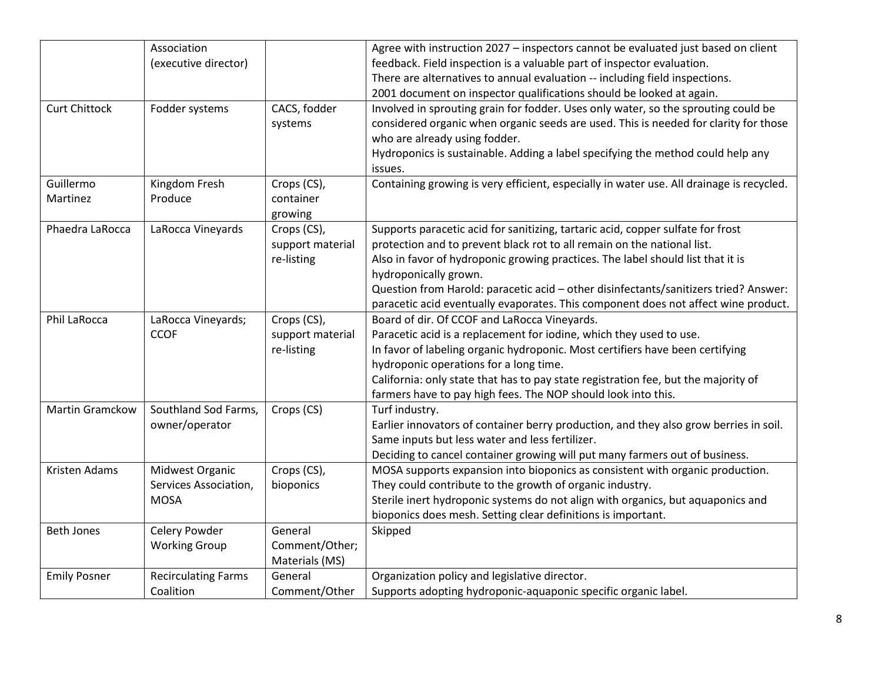|                      | Association                |                  | Agree with instruction 2027 - inspectors cannot be evaluated just based on client        |
|----------------------|----------------------------|------------------|------------------------------------------------------------------------------------------|
|                      | (executive director)       |                  | feedback. Field inspection is a valuable part of inspector evaluation.                   |
|                      |                            |                  | There are alternatives to annual evaluation -- including field inspections.              |
|                      |                            |                  | 2001 document on inspector qualifications should be looked at again.                     |
| <b>Curt Chittock</b> | Fodder systems             | CACS, fodder     | Involved in sprouting grain for fodder. Uses only water, so the sprouting could be       |
|                      |                            | systems          | considered organic when organic seeds are used. This is needed for clarity for those     |
|                      |                            |                  |                                                                                          |
|                      |                            |                  | who are already using fodder.                                                            |
|                      |                            |                  | Hydroponics is sustainable. Adding a label specifying the method could help any          |
|                      |                            |                  | issues.                                                                                  |
| Guillermo            | Kingdom Fresh              | Crops (CS),      | Containing growing is very efficient, especially in water use. All drainage is recycled. |
| Martinez             | Produce                    | container        |                                                                                          |
|                      |                            | growing          |                                                                                          |
| Phaedra LaRocca      | LaRocca Vineyards          | Crops (CS),      | Supports paracetic acid for sanitizing, tartaric acid, copper sulfate for frost          |
|                      |                            | support material | protection and to prevent black rot to all remain on the national list.                  |
|                      |                            | re-listing       | Also in favor of hydroponic growing practices. The label should list that it is          |
|                      |                            |                  | hydroponically grown.                                                                    |
|                      |                            |                  | Question from Harold: paracetic acid - other disinfectants/sanitizers tried? Answer:     |
|                      |                            |                  | paracetic acid eventually evaporates. This component does not affect wine product.       |
| Phil LaRocca         | LaRocca Vineyards;         | Crops (CS),      | Board of dir. Of CCOF and LaRocca Vineyards.                                             |
|                      | <b>CCOF</b>                | support material | Paracetic acid is a replacement for iodine, which they used to use.                      |
|                      |                            | re-listing       | In favor of labeling organic hydroponic. Most certifiers have been certifying            |
|                      |                            |                  | hydroponic operations for a long time.                                                   |
|                      |                            |                  | California: only state that has to pay state registration fee, but the majority of       |
|                      |                            |                  | farmers have to pay high fees. The NOP should look into this.                            |
| Martin Gramckow      | Southland Sod Farms,       | Crops (CS)       | Turf industry.                                                                           |
|                      | owner/operator             |                  | Earlier innovators of container berry production, and they also grow berries in soil.    |
|                      |                            |                  | Same inputs but less water and less fertilizer.                                          |
|                      |                            |                  | Deciding to cancel container growing will put many farmers out of business.              |
| Kristen Adams        | Midwest Organic            | Crops (CS),      | MOSA supports expansion into bioponics as consistent with organic production.            |
|                      | Services Association,      | bioponics        | They could contribute to the growth of organic industry.                                 |
|                      | <b>MOSA</b>                |                  | Sterile inert hydroponic systems do not align with organics, but aquaponics and          |
|                      |                            |                  | bioponics does mesh. Setting clear definitions is important.                             |
| <b>Beth Jones</b>    | Celery Powder              | General          | Skipped                                                                                  |
|                      | <b>Working Group</b>       | Comment/Other;   |                                                                                          |
|                      |                            | Materials (MS)   |                                                                                          |
| <b>Emily Posner</b>  | <b>Recirculating Farms</b> | General          | Organization policy and legislative director.                                            |
|                      | Coalition                  | Comment/Other    | Supports adopting hydroponic-aquaponic specific organic label.                           |